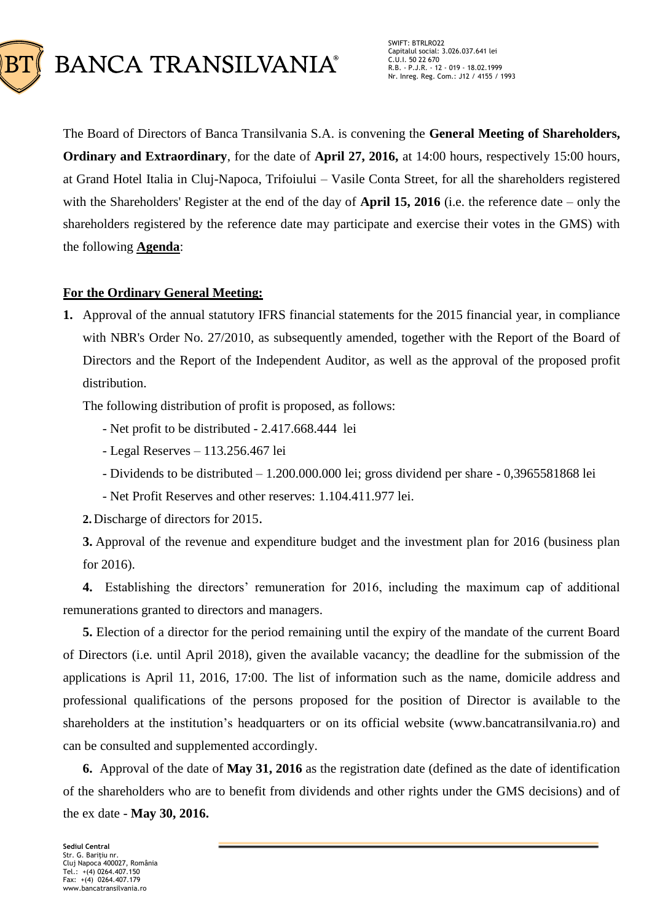

The Board of Directors of Banca Transilvania S.A. is convening the **General Meeting of Shareholders, Ordinary and Extraordinary**, for the date of **April 27, 2016,** at 14:00 hours, respectively 15:00 hours, at Grand Hotel Italia in Cluj-Napoca, Trifoiului – Vasile Conta Street, for all the shareholders registered with the Shareholders' Register at the end of the day of **April 15, 2016** (i.e. the reference date – only the shareholders registered by the reference date may participate and exercise their votes in the GMS) with the following **Agenda**:

## **For the Ordinary General Meeting:**

**1.** Approval of the annual statutory IFRS financial statements for the 2015 financial year, in compliance with NBR's Order No. 27/2010, as subsequently amended, together with the Report of the Board of Directors and the Report of the Independent Auditor, as well as the approval of the proposed profit distribution.

The following distribution of profit is proposed, as follows:

- Net profit to be distributed 2.417.668.444 lei
- Legal Reserves 113.256.467 lei
- Dividends to be distributed 1.200.000.000 lei; gross dividend per share 0,3965581868 lei
- Net Profit Reserves and other reserves: 1.104.411.977 lei.

**2.** Discharge of directors for 2015.

**3.** Approval of the revenue and expenditure budget and the investment plan for 2016 (business plan for 2016).

**4.** Establishing the directors' remuneration for 2016, including the maximum cap of additional remunerations granted to directors and managers.

**5.** Election of a director for the period remaining until the expiry of the mandate of the current Board of Directors (i.e. until April 2018), given the available vacancy; the deadline for the submission of the applications is April 11, 2016, 17:00. The list of information such as the name, domicile address and professional qualifications of the persons proposed for the position of Director is available to the shareholders at the institution's headquarters or on its official website (www.bancatransilvania.ro) and can be consulted and supplemented accordingly.

**6.** Approval of the date of **May 31, 2016** as the registration date (defined as the date of identification of the shareholders who are to benefit from dividends and other rights under the GMS decisions) and of the ex date - **May 30, 2016.**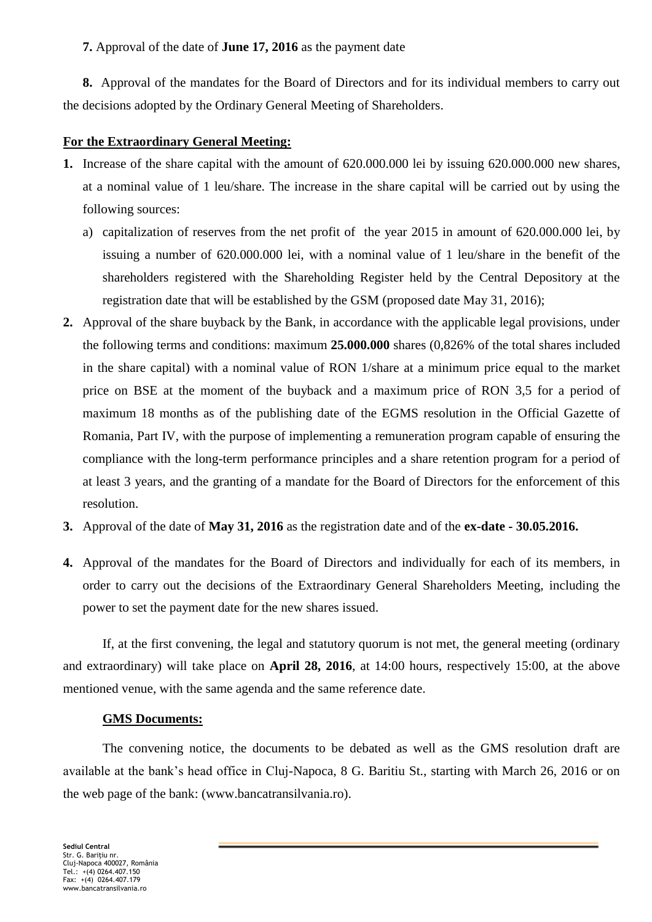# **7.** Approval of the date of **June 17, 2016** as the payment date

**8.** Approval of the mandates for the Board of Directors and for its individual members to carry out the decisions adopted by the Ordinary General Meeting of Shareholders.

# **For the Extraordinary General Meeting:**

- **1.** Increase of the share capital with the amount of 620.000.000 lei by issuing 620.000.000 new shares, at a nominal value of 1 leu/share. The increase in the share capital will be carried out by using the following sources:
	- a) capitalization of reserves from the net profit of the year 2015 in amount of 620.000.000 lei, by issuing a number of 620.000.000 lei, with a nominal value of 1 leu/share in the benefit of the shareholders registered with the Shareholding Register held by the Central Depository at the registration date that will be established by the GSM (proposed date May 31, 2016);
- **2.** Approval of the share buyback by the Bank, in accordance with the applicable legal provisions, under the following terms and conditions: maximum **25.000.000** shares (0,826% of the total shares included in the share capital) with a nominal value of RON 1/share at a minimum price equal to the market price on BSE at the moment of the buyback and a maximum price of RON 3,5 for a period of maximum 18 months as of the publishing date of the EGMS resolution in the Official Gazette of Romania, Part IV, with the purpose of implementing a remuneration program capable of ensuring the compliance with the long-term performance principles and a share retention program for a period of at least 3 years, and the granting of a mandate for the Board of Directors for the enforcement of this resolution.
- **3.** Approval of the date of **May 31, 2016** as the registration date and of the **ex-date - 30.05.2016.**
- **4.** Approval of the mandates for the Board of Directors and individually for each of its members, in order to carry out the decisions of the Extraordinary General Shareholders Meeting, including the power to set the payment date for the new shares issued.

If, at the first convening, the legal and statutory quorum is not met, the general meeting (ordinary and extraordinary) will take place on **April 28, 2016**, at 14:00 hours, respectively 15:00, at the above mentioned venue, with the same agenda and the same reference date.

### **GMS Documents:**

The convening notice, the documents to be debated as well as the GMS resolution draft are available at the bank's head office in Cluj-Napoca, 8 G. Baritiu St., starting with March 26, 2016 or on the web page of the bank: (www.bancatransilvania.ro).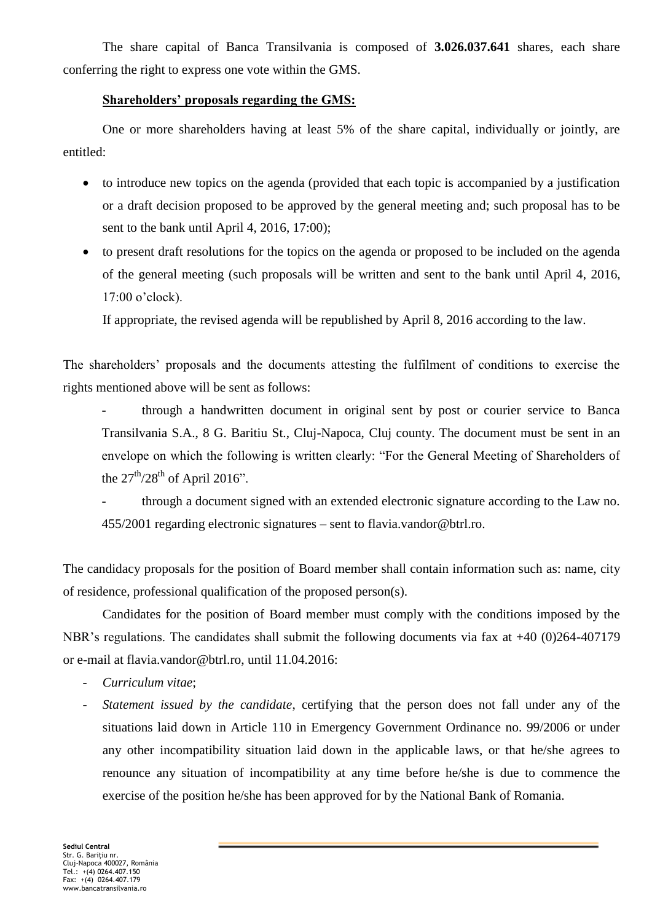The share capital of Banca Transilvania is composed of **3.026.037.641** shares, each share conferring the right to express one vote within the GMS.

# **Shareholders' proposals regarding the GMS:**

One or more shareholders having at least 5% of the share capital, individually or jointly, are entitled:

- to introduce new topics on the agenda (provided that each topic is accompanied by a justification or a draft decision proposed to be approved by the general meeting and; such proposal has to be sent to the bank until April 4, 2016, 17:00);
- to present draft resolutions for the topics on the agenda or proposed to be included on the agenda of the general meeting (such proposals will be written and sent to the bank until April 4, 2016, 17:00 o'clock).

If appropriate, the revised agenda will be republished by April 8, 2016 according to the law.

The shareholders' proposals and the documents attesting the fulfilment of conditions to exercise the rights mentioned above will be sent as follows:

through a handwritten document in original sent by post or courier service to Banca Transilvania S.A., 8 G. Baritiu St., Cluj-Napoca, Cluj county. The document must be sent in an envelope on which the following is written clearly: "For the General Meeting of Shareholders of the  $27^{\text{th}}/28^{\text{th}}$  of April 2016".

- through a document signed with an extended electronic signature according to the Law no. 455/2001 regarding electronic signatures – sent to flavia.vandor@btrl.ro.

The candidacy proposals for the position of Board member shall contain information such as: name, city of residence, professional qualification of the proposed person(s).

Candidates for the position of Board member must comply with the conditions imposed by the NBR's regulations. The candidates shall submit the following documents via fax at  $+40$  (0)264-407179 or e-mail at [flavia.vandor@btrl.ro,](mailto:flavia.vandor@btrl.ro) until 11.04.2016:

- *Curriculum vitae*;
- *Statement issued by the candidate*, certifying that the person does not fall under any of the situations laid down in Article 110 in Emergency Government Ordinance no. 99/2006 or under any other incompatibility situation laid down in the applicable laws, or that he/she agrees to renounce any situation of incompatibility at any time before he/she is due to commence the exercise of the position he/she has been approved for by the National Bank of Romania.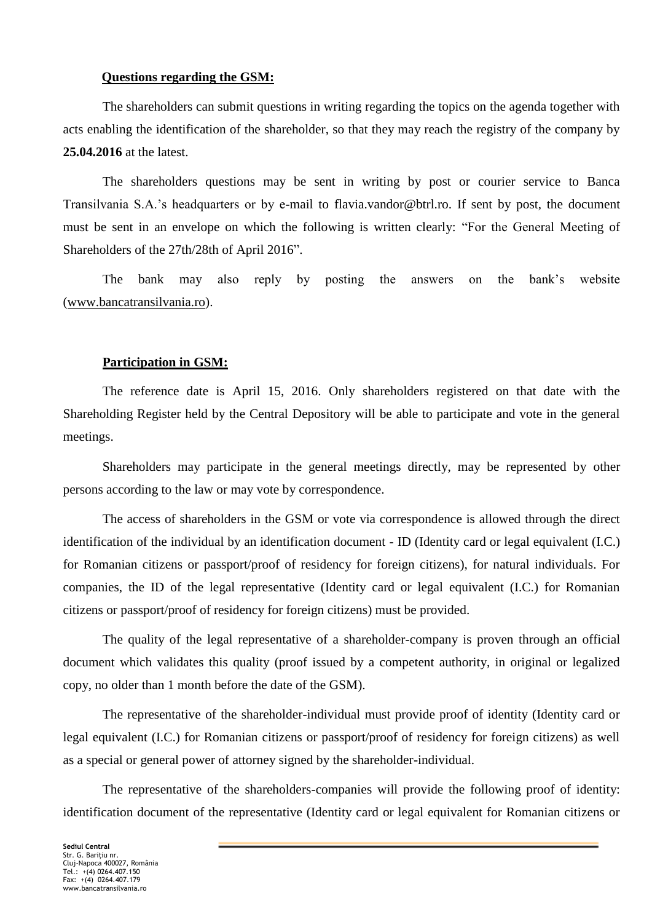#### **Questions regarding the GSM:**

The shareholders can submit questions in writing regarding the topics on the agenda together with acts enabling the identification of the shareholder, so that they may reach the registry of the company by **25.04.2016** at the latest.

The shareholders questions may be sent in writing by post or courier service to Banca Transilvania S.A.'s headquarters or by e-mail to flavia.vandor@btrl.ro. If sent by post, the document must be sent in an envelope on which the following is written clearly: "For the General Meeting of Shareholders of the 27th/28th of April 2016".

The bank may also reply by posting the answers on the bank's website [\(www.bancatransilvania.ro\)](http://www.bancatransilvania.ro/).

#### **Participation in GSM:**

The reference date is April 15, 2016. Only shareholders registered on that date with the Shareholding Register held by the Central Depository will be able to participate and vote in the general meetings.

Shareholders may participate in the general meetings directly, may be represented by other persons according to the law or may vote by correspondence.

The access of shareholders in the GSM or vote via correspondence is allowed through the direct identification of the individual by an identification document - ID (Identity card or legal equivalent (I.C.) for Romanian citizens or passport/proof of residency for foreign citizens), for natural individuals. For companies, the ID of the legal representative (Identity card or legal equivalent (I.C.) for Romanian citizens or passport/proof of residency for foreign citizens) must be provided.

The quality of the legal representative of a shareholder-company is proven through an official document which validates this quality (proof issued by a competent authority, in original or legalized copy, no older than 1 month before the date of the GSM).

The representative of the shareholder-individual must provide proof of identity (Identity card or legal equivalent (I.C.) for Romanian citizens or passport/proof of residency for foreign citizens) as well as a special or general power of attorney signed by the shareholder-individual.

The representative of the shareholders-companies will provide the following proof of identity: identification document of the representative (Identity card or legal equivalent for Romanian citizens or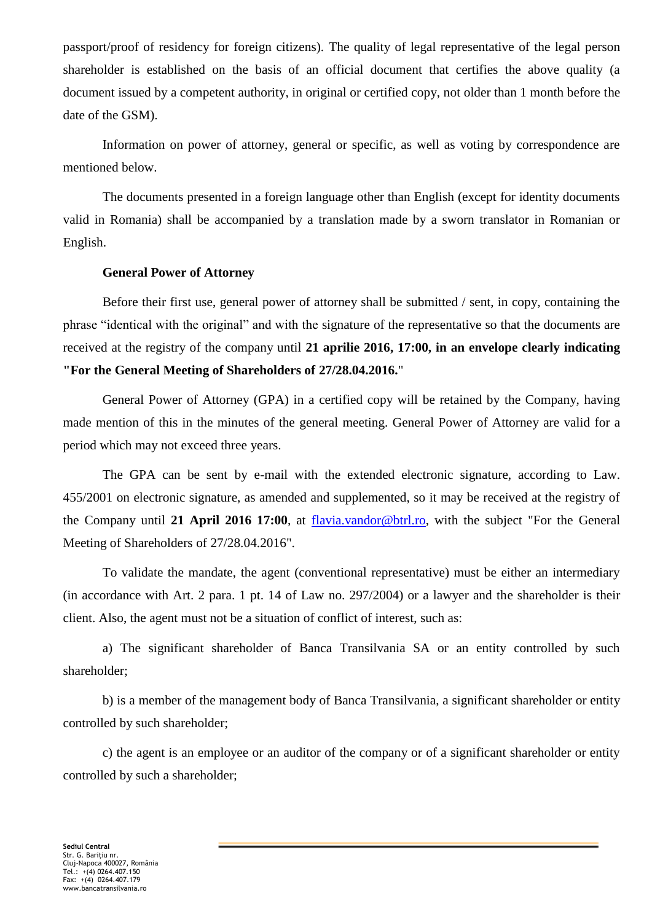passport/proof of residency for foreign citizens). The quality of legal representative of the legal person shareholder is established on the basis of an official document that certifies the above quality (a document issued by a competent authority, in original or certified copy, not older than 1 month before the date of the GSM).

Information on power of attorney, general or specific, as well as voting by correspondence are mentioned below.

The documents presented in a foreign language other than English (except for identity documents valid in Romania) shall be accompanied by a translation made by a sworn translator in Romanian or English.

## **General Power of Attorney**

Before their first use, general power of attorney shall be submitted / sent, in copy, containing the phrase "identical with the original" and with the signature of the representative so that the documents are received at the registry of the company until **21 aprilie 2016, 17:00, in an envelope clearly indicating "For the General Meeting of Shareholders of 27/28.04.2016.**"

General Power of Attorney (GPA) in a certified copy will be retained by the Company, having made mention of this in the minutes of the general meeting. General Power of Attorney are valid for a period which may not exceed three years.

The GPA can be sent by e-mail with the extended electronic signature, according to Law. 455/2001 on electronic signature, as amended and supplemented, so it may be received at the registry of the Company until **21 April 2016 17:00**, at [flavia.vandor@btrl.ro,](mailto:flavia.vandor@btrl.ro) with the subject "For the General Meeting of Shareholders of 27/28.04.2016".

To validate the mandate, the agent (conventional representative) must be either an intermediary (in accordance with Art. 2 para. 1 pt. 14 of Law no. 297/2004) or a lawyer and the shareholder is their client. Also, the agent must not be a situation of conflict of interest, such as:

a) The significant shareholder of Banca Transilvania SA or an entity controlled by such shareholder;

b) is a member of the management body of Banca Transilvania, a significant shareholder or entity controlled by such shareholder;

c) the agent is an employee or an auditor of the company or of a significant shareholder or entity controlled by such a shareholder;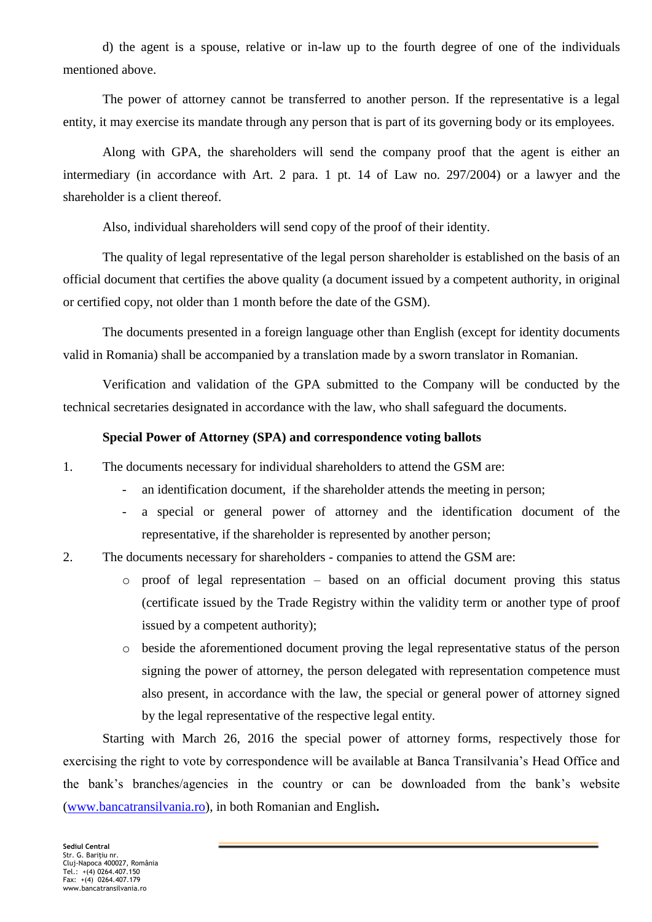d) the agent is a spouse, relative or in-law up to the fourth degree of one of the individuals mentioned above.

The power of attorney cannot be transferred to another person. If the representative is a legal entity, it may exercise its mandate through any person that is part of its governing body or its employees.

Along with GPA, the shareholders will send the company proof that the agent is either an intermediary (in accordance with Art. 2 para. 1 pt. 14 of Law no. 297/2004) or a lawyer and the shareholder is a client thereof.

Also, individual shareholders will send copy of the proof of their identity.

The quality of legal representative of the legal person shareholder is established on the basis of an official document that certifies the above quality (a document issued by a competent authority, in original or certified copy, not older than 1 month before the date of the GSM).

The documents presented in a foreign language other than English (except for identity documents valid in Romania) shall be accompanied by a translation made by a sworn translator in Romanian.

Verification and validation of the GPA submitted to the Company will be conducted by the technical secretaries designated in accordance with the law, who shall safeguard the documents.

### **Special Power of Attorney (SPA) and correspondence voting ballots**

1. The documents necessary for individual shareholders to attend the GSM are:

- an identification document, if the shareholder attends the meeting in person;
- a special or general power of attorney and the identification document of the representative, if the shareholder is represented by another person;
- 2. The documents necessary for shareholders companies to attend the GSM are:
	- o proof of legal representation based on an official document proving this status (certificate issued by the Trade Registry within the validity term or another type of proof issued by a competent authority);
	- o beside the aforementioned document proving the legal representative status of the person signing the power of attorney, the person delegated with representation competence must also present, in accordance with the law, the special or general power of attorney signed by the legal representative of the respective legal entity.

Starting with March 26, 2016 the special power of attorney forms, respectively those for exercising the right to vote by correspondence will be available at Banca Transilvania's Head Office and the bank's branches/agencies in the country or can be downloaded from the bank's website [\(www.bancatransilvania.ro\)](http://www.bancatransilvania.ro/), in both Romanian and English**.**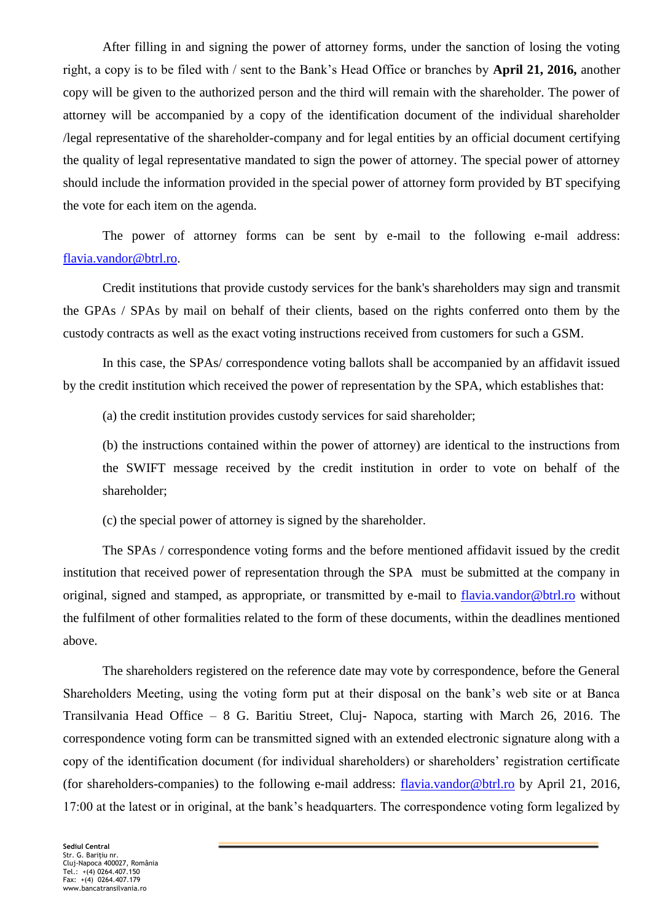After filling in and signing the power of attorney forms, under the sanction of losing the voting right, a copy is to be filed with / sent to the Bank's Head Office or branches by **April 21, 2016,** another copy will be given to the authorized person and the third will remain with the shareholder. The power of attorney will be accompanied by a copy of the identification document of the individual shareholder /legal representative of the shareholder-company and for legal entities by an official document certifying the quality of legal representative mandated to sign the power of attorney. The special power of attorney should include the information provided in the special power of attorney form provided by BT specifying the vote for each item on the agenda.

The power of attorney forms can be sent by e-mail to the following e-mail address: [flavia.vandor@btrl.ro.](mailto:flavia.vandor@btrl.ro)

Credit institutions that provide custody services for the bank's shareholders may sign and transmit the GPAs / SPAs by mail on behalf of their clients, based on the rights conferred onto them by the custody contracts as well as the exact voting instructions received from customers for such a GSM.

In this case, the SPAs/ correspondence voting ballots shall be accompanied by an affidavit issued by the credit institution which received the power of representation by the SPA, which establishes that:

(a) the credit institution provides custody services for said shareholder;

(b) the instructions contained within the power of attorney) are identical to the instructions from the SWIFT message received by the credit institution in order to vote on behalf of the shareholder;

(c) the special power of attorney is signed by the shareholder.

The SPAs / correspondence voting forms and the before mentioned affidavit issued by the credit institution that received power of representation through the SPA must be submitted at the company in original, signed and stamped, as appropriate, or transmitted by e-mail to [flavia.vandor@btrl.ro](mailto:flavia.vandor@btrl.ro) without the fulfilment of other formalities related to the form of these documents, within the deadlines mentioned above.

The shareholders registered on the reference date may vote by correspondence, before the General Shareholders Meeting, using the voting form put at their disposal on the bank's web site or at Banca Transilvania Head Office – 8 G. Baritiu Street, Cluj- Napoca, starting with March 26, 2016. The correspondence voting form can be transmitted signed with an extended electronic signature along with a copy of the identification document (for individual shareholders) or shareholders' registration certificate (for shareholders-companies) to the following e-mail address: [flavia.vandor@btrl.ro](mailto:flavia.vandor@btrl.ro) by April 21, 2016, 17:00 at the latest or in original, at the bank's headquarters. The correspondence voting form legalized by